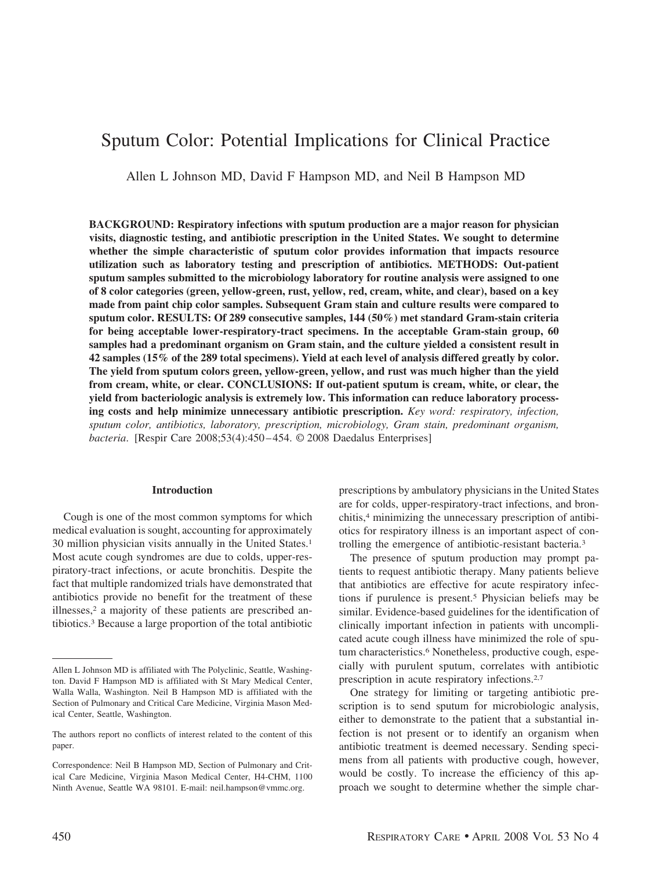# Sputum Color: Potential Implications for Clinical Practice

Allen L Johnson MD, David F Hampson MD, and Neil B Hampson MD

**BACKGROUND: Respiratory infections with sputum production are a major reason for physician visits, diagnostic testing, and antibiotic prescription in the United States. We sought to determine whether the simple characteristic of sputum color provides information that impacts resource utilization such as laboratory testing and prescription of antibiotics. METHODS: Out-patient sputum samples submitted to the microbiology laboratory for routine analysis were assigned to one of 8 color categories (green, yellow-green, rust, yellow, red, cream, white, and clear), based on a key made from paint chip color samples. Subsequent Gram stain and culture results were compared to sputum color. RESULTS: Of 289 consecutive samples, 144 (50%) met standard Gram-stain criteria for being acceptable lower-respiratory-tract specimens. In the acceptable Gram-stain group, 60 samples had a predominant organism on Gram stain, and the culture yielded a consistent result in 42 samples (15% of the 289 total specimens). Yield at each level of analysis differed greatly by color. The yield from sputum colors green, yellow-green, yellow, and rust was much higher than the yield from cream, white, or clear. CONCLUSIONS: If out-patient sputum is cream, white, or clear, the yield from bacteriologic analysis is extremely low. This information can reduce laboratory processing costs and help minimize unnecessary antibiotic prescription.** *Key word: respiratory, infection, sputum color, antibiotics, laboratory, prescription, microbiology, Gram stain, predominant organism, bacteria*. [Respir Care 2008;53(4):450 – 454. © 2008 Daedalus Enterprises]

### **Introduction**

Cough is one of the most common symptoms for which medical evaluation is sought, accounting for approximately 30 million physician visits annually in the United States.1 Most acute cough syndromes are due to colds, upper-respiratory-tract infections, or acute bronchitis. Despite the fact that multiple randomized trials have demonstrated that antibiotics provide no benefit for the treatment of these illnesses,<sup>2</sup> a majority of these patients are prescribed antibiotics.3 Because a large proportion of the total antibiotic prescriptions by ambulatory physicians in the United States are for colds, upper-respiratory-tract infections, and bronchitis,4 minimizing the unnecessary prescription of antibiotics for respiratory illness is an important aspect of controlling the emergence of antibiotic-resistant bacteria.3

The presence of sputum production may prompt patients to request antibiotic therapy. Many patients believe that antibiotics are effective for acute respiratory infections if purulence is present.5 Physician beliefs may be similar. Evidence-based guidelines for the identification of clinically important infection in patients with uncomplicated acute cough illness have minimized the role of sputum characteristics.<sup>6</sup> Nonetheless, productive cough, especially with purulent sputum, correlates with antibiotic prescription in acute respiratory infections.2,7

One strategy for limiting or targeting antibiotic prescription is to send sputum for microbiologic analysis, either to demonstrate to the patient that a substantial infection is not present or to identify an organism when antibiotic treatment is deemed necessary. Sending specimens from all patients with productive cough, however, would be costly. To increase the efficiency of this approach we sought to determine whether the simple char-

Allen L Johnson MD is affiliated with The Polyclinic, Seattle, Washington. David F Hampson MD is affiliated with St Mary Medical Center, Walla Walla, Washington. Neil B Hampson MD is affiliated with the Section of Pulmonary and Critical Care Medicine, Virginia Mason Medical Center, Seattle, Washington.

The authors report no conflicts of interest related to the content of this paper.

Correspondence: Neil B Hampson MD, Section of Pulmonary and Critical Care Medicine, Virginia Mason Medical Center, H4-CHM, 1100 Ninth Avenue, Seattle WA 98101. E-mail: neil.hampson@vmmc.org.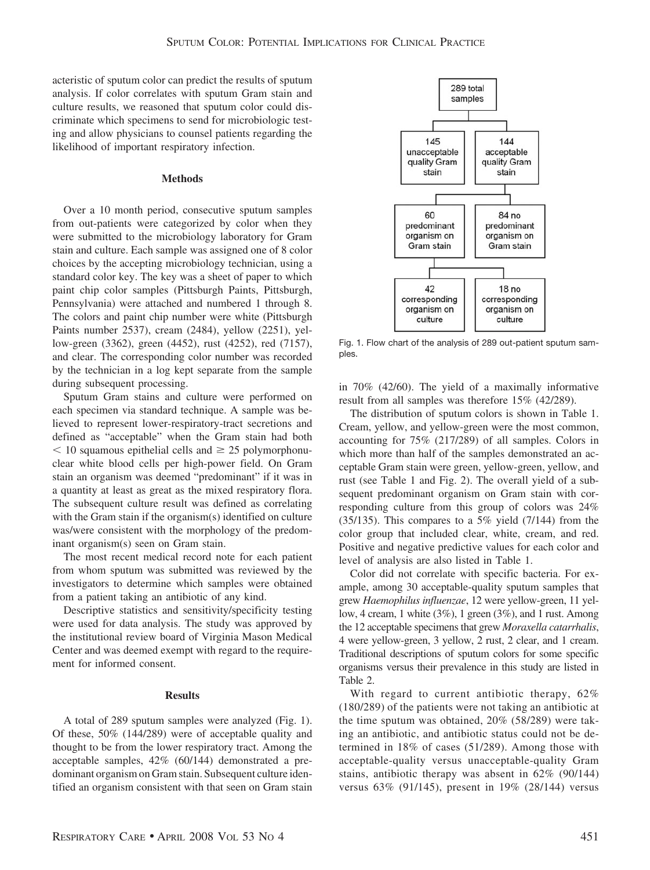acteristic of sputum color can predict the results of sputum analysis. If color correlates with sputum Gram stain and culture results, we reasoned that sputum color could discriminate which specimens to send for microbiologic testing and allow physicians to counsel patients regarding the likelihood of important respiratory infection.

## **Methods**

Over a 10 month period, consecutive sputum samples from out-patients were categorized by color when they were submitted to the microbiology laboratory for Gram stain and culture. Each sample was assigned one of 8 color choices by the accepting microbiology technician, using a standard color key. The key was a sheet of paper to which paint chip color samples (Pittsburgh Paints, Pittsburgh, Pennsylvania) were attached and numbered 1 through 8. The colors and paint chip number were white (Pittsburgh Paints number 2537), cream (2484), yellow (2251), yellow-green (3362), green (4452), rust (4252), red (7157), and clear. The corresponding color number was recorded by the technician in a log kept separate from the sample during subsequent processing.

Sputum Gram stains and culture were performed on each specimen via standard technique. A sample was believed to represent lower-respiratory-tract secretions and defined as "acceptable" when the Gram stain had both  $10$  squamous epithelial cells and  $\geq 25$  polymorphonuclear white blood cells per high-power field. On Gram stain an organism was deemed "predominant" if it was in a quantity at least as great as the mixed respiratory flora. The subsequent culture result was defined as correlating with the Gram stain if the organism(s) identified on culture was/were consistent with the morphology of the predominant organism(s) seen on Gram stain.

The most recent medical record note for each patient from whom sputum was submitted was reviewed by the investigators to determine which samples were obtained from a patient taking an antibiotic of any kind.

Descriptive statistics and sensitivity/specificity testing were used for data analysis. The study was approved by the institutional review board of Virginia Mason Medical Center and was deemed exempt with regard to the requirement for informed consent.

#### **Results**

A total of 289 sputum samples were analyzed (Fig. 1). Of these, 50% (144/289) were of acceptable quality and thought to be from the lower respiratory tract. Among the acceptable samples, 42% (60/144) demonstrated a predominant organism on Gram stain. Subsequent culture identified an organism consistent with that seen on Gram stain



Fig. 1. Flow chart of the analysis of 289 out-patient sputum samples.

in 70% (42/60). The yield of a maximally informative result from all samples was therefore 15% (42/289).

The distribution of sputum colors is shown in Table 1. Cream, yellow, and yellow-green were the most common, accounting for 75% (217/289) of all samples. Colors in which more than half of the samples demonstrated an acceptable Gram stain were green, yellow-green, yellow, and rust (see Table 1 and Fig. 2). The overall yield of a subsequent predominant organism on Gram stain with corresponding culture from this group of colors was 24% (35/135). This compares to a 5% yield  $(7/144)$  from the color group that included clear, white, cream, and red. Positive and negative predictive values for each color and level of analysis are also listed in Table 1.

Color did not correlate with specific bacteria. For example, among 30 acceptable-quality sputum samples that grew *Haemophilus influenzae*, 12 were yellow-green, 11 yellow, 4 cream, 1 white (3%), 1 green (3%), and 1 rust. Among the 12 acceptable specimens that grew *Moraxella catarrhalis*, 4 were yellow-green, 3 yellow, 2 rust, 2 clear, and 1 cream. Traditional descriptions of sputum colors for some specific organisms versus their prevalence in this study are listed in Table 2.

With regard to current antibiotic therapy, 62% (180/289) of the patients were not taking an antibiotic at the time sputum was obtained, 20% (58/289) were taking an antibiotic, and antibiotic status could not be determined in 18% of cases (51/289). Among those with acceptable-quality versus unacceptable-quality Gram stains, antibiotic therapy was absent in 62% (90/144) versus 63% (91/145), present in 19% (28/144) versus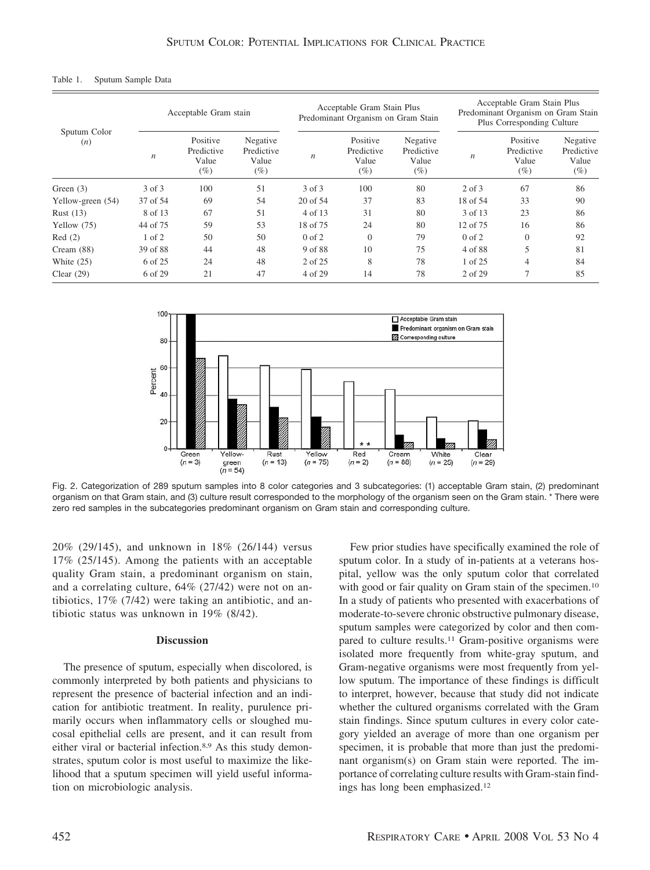#### Table 1. Sputum Sample Data

| Sputum Color<br>(n) | Acceptable Gram stain |                                           |                                           | Acceptable Gram Stain Plus<br>Predominant Organism on Gram Stain |                                           |                                           | Acceptable Gram Stain Plus<br>Predominant Organism on Gram Stain<br>Plus Corresponding Culture |                                        |                                           |
|---------------------|-----------------------|-------------------------------------------|-------------------------------------------|------------------------------------------------------------------|-------------------------------------------|-------------------------------------------|------------------------------------------------------------------------------------------------|----------------------------------------|-------------------------------------------|
|                     | $\boldsymbol{n}$      | Positive<br>Predictive<br>Value<br>$(\%)$ | Negative<br>Predictive<br>Value<br>$(\%)$ | n                                                                | Positive<br>Predictive<br>Value<br>$(\%)$ | Negative<br>Predictive<br>Value<br>$(\%)$ | $\boldsymbol{n}$                                                                               | Positive<br>Predictive<br>Value<br>(%) | Negative<br>Predictive<br>Value<br>$(\%)$ |
| Green $(3)$         | 3 of 3                | 100                                       | 51                                        | 3 of 3                                                           | 100                                       | 80                                        | $2$ of $3$                                                                                     | 67                                     | 86                                        |
| Yellow-green (54)   | 37 of 54              | 69                                        | 54                                        | 20 of 54                                                         | 37                                        | 83                                        | 18 of 54                                                                                       | 33                                     | 90                                        |
| Rust $(13)$         | 8 of 13               | 67                                        | 51                                        | 4 of 13                                                          | 31                                        | 80                                        | 3 of 13                                                                                        | 23                                     | 86                                        |
| Yellow (75)         | 44 of 75              | 59                                        | 53                                        | 18 of 75                                                         | 24                                        | 80                                        | 12 of 75                                                                                       | 16                                     | 86                                        |
| Red(2)              | $1$ of $2$            | 50                                        | 50                                        | $0$ of $2$                                                       | $\Omega$                                  | 79                                        | $0$ of $2$                                                                                     | $\Omega$                               | 92                                        |
| Cream $(88)$        | 39 of 88              | 44                                        | 48                                        | 9 of 88                                                          | 10                                        | 75                                        | 4 of 88                                                                                        | 5                                      | 81                                        |
| White $(25)$        | 6 of 25               | 24                                        | 48                                        | 2 of 25                                                          | 8                                         | 78                                        | 1 of 25                                                                                        | 4                                      | 84                                        |
| Clear $(29)$        | 6 of 29               | 21                                        | 47                                        | 4 of 29                                                          | 14                                        | 78                                        | $2$ of $29$                                                                                    |                                        | 85                                        |



Fig. 2. Categorization of 289 sputum samples into 8 color categories and 3 subcategories: (1) acceptable Gram stain, (2) predominant organism on that Gram stain, and (3) culture result corresponded to the morphology of the organism seen on the Gram stain. \* There were zero red samples in the subcategories predominant organism on Gram stain and corresponding culture.

20% (29/145), and unknown in 18% (26/144) versus 17% (25/145). Among the patients with an acceptable quality Gram stain, a predominant organism on stain, and a correlating culture, 64% (27/42) were not on antibiotics, 17% (7/42) were taking an antibiotic, and antibiotic status was unknown in 19% (8/42).

## **Discussion**

The presence of sputum, especially when discolored, is commonly interpreted by both patients and physicians to represent the presence of bacterial infection and an indication for antibiotic treatment. In reality, purulence primarily occurs when inflammatory cells or sloughed mucosal epithelial cells are present, and it can result from either viral or bacterial infection.8,9 As this study demonstrates, sputum color is most useful to maximize the likelihood that a sputum specimen will yield useful information on microbiologic analysis.

Few prior studies have specifically examined the role of sputum color. In a study of in-patients at a veterans hospital, yellow was the only sputum color that correlated with good or fair quality on Gram stain of the specimen.<sup>10</sup> In a study of patients who presented with exacerbations of moderate-to-severe chronic obstructive pulmonary disease, sputum samples were categorized by color and then compared to culture results.11 Gram-positive organisms were isolated more frequently from white-gray sputum, and Gram-negative organisms were most frequently from yellow sputum. The importance of these findings is difficult to interpret, however, because that study did not indicate whether the cultured organisms correlated with the Gram stain findings. Since sputum cultures in every color category yielded an average of more than one organism per specimen, it is probable that more than just the predominant organism(s) on Gram stain were reported. The importance of correlating culture results with Gram-stain findings has long been emphasized.12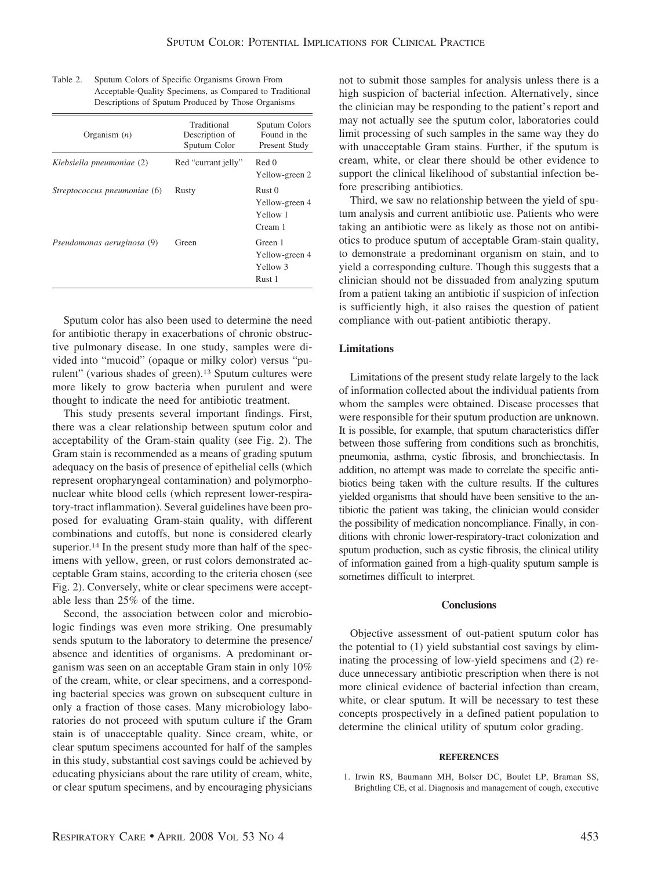| Organism $(n)$               | Traditional<br>Description of<br>Sputum Color | Sputum Colors<br>Found in the<br>Present Study             |  |
|------------------------------|-----------------------------------------------|------------------------------------------------------------|--|
| Klebsiella pneumoniae (2)    | Red "currant jelly"                           | Red 0<br>Yellow-green 2                                    |  |
| Streptococcus pneumoniae (6) | Rusty                                         | Rust <sub>0</sub><br>Yellow-green 4<br>Yellow 1<br>Cream 1 |  |
| Pseudomonas aeruginosa (9)   | Green                                         | Green 1<br>Yellow-green 4<br>Yellow 3<br>Rust 1            |  |

| Table 2. | Sputum Colors of Specific Organisms Grown From           |
|----------|----------------------------------------------------------|
|          | Acceptable-Quality Specimens, as Compared to Traditional |
|          | Descriptions of Sputum Produced by Those Organisms       |

Sputum color has also been used to determine the need for antibiotic therapy in exacerbations of chronic obstructive pulmonary disease. In one study, samples were divided into "mucoid" (opaque or milky color) versus "purulent" (various shades of green).13 Sputum cultures were more likely to grow bacteria when purulent and were thought to indicate the need for antibiotic treatment.

This study presents several important findings. First, there was a clear relationship between sputum color and acceptability of the Gram-stain quality (see Fig. 2). The Gram stain is recommended as a means of grading sputum adequacy on the basis of presence of epithelial cells (which represent oropharyngeal contamination) and polymorphonuclear white blood cells (which represent lower-respiratory-tract inflammation). Several guidelines have been proposed for evaluating Gram-stain quality, with different combinations and cutoffs, but none is considered clearly superior.<sup>14</sup> In the present study more than half of the specimens with yellow, green, or rust colors demonstrated acceptable Gram stains, according to the criteria chosen (see Fig. 2). Conversely, white or clear specimens were acceptable less than 25% of the time.

Second, the association between color and microbiologic findings was even more striking. One presumably sends sputum to the laboratory to determine the presence/ absence and identities of organisms. A predominant organism was seen on an acceptable Gram stain in only 10% of the cream, white, or clear specimens, and a corresponding bacterial species was grown on subsequent culture in only a fraction of those cases. Many microbiology laboratories do not proceed with sputum culture if the Gram stain is of unacceptable quality. Since cream, white, or clear sputum specimens accounted for half of the samples in this study, substantial cost savings could be achieved by educating physicians about the rare utility of cream, white, or clear sputum specimens, and by encouraging physicians not to submit those samples for analysis unless there is a high suspicion of bacterial infection. Alternatively, since the clinician may be responding to the patient's report and may not actually see the sputum color, laboratories could limit processing of such samples in the same way they do with unacceptable Gram stains. Further, if the sputum is cream, white, or clear there should be other evidence to support the clinical likelihood of substantial infection before prescribing antibiotics.

Third, we saw no relationship between the yield of sputum analysis and current antibiotic use. Patients who were taking an antibiotic were as likely as those not on antibiotics to produce sputum of acceptable Gram-stain quality, to demonstrate a predominant organism on stain, and to yield a corresponding culture. Though this suggests that a clinician should not be dissuaded from analyzing sputum from a patient taking an antibiotic if suspicion of infection is sufficiently high, it also raises the question of patient compliance with out-patient antibiotic therapy.

# **Limitations**

Limitations of the present study relate largely to the lack of information collected about the individual patients from whom the samples were obtained. Disease processes that were responsible for their sputum production are unknown. It is possible, for example, that sputum characteristics differ between those suffering from conditions such as bronchitis, pneumonia, asthma, cystic fibrosis, and bronchiectasis. In addition, no attempt was made to correlate the specific antibiotics being taken with the culture results. If the cultures yielded organisms that should have been sensitive to the antibiotic the patient was taking, the clinician would consider the possibility of medication noncompliance. Finally, in conditions with chronic lower-respiratory-tract colonization and sputum production, such as cystic fibrosis, the clinical utility of information gained from a high-quality sputum sample is sometimes difficult to interpret.

# **Conclusions**

Objective assessment of out-patient sputum color has the potential to (1) yield substantial cost savings by eliminating the processing of low-yield specimens and (2) reduce unnecessary antibiotic prescription when there is not more clinical evidence of bacterial infection than cream, white, or clear sputum. It will be necessary to test these concepts prospectively in a defined patient population to determine the clinical utility of sputum color grading.

#### **REFERENCES**

1. Irwin RS, Baumann MH, Bolser DC, Boulet LP, Braman SS, Brightling CE, et al. Diagnosis and management of cough, executive